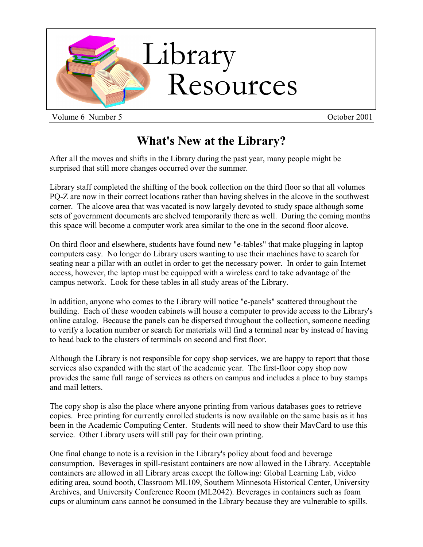

Volume 6 Number 5 Contact 1 2001

## **What's New at the Library?**

After all the moves and shifts in the Library during the past year, many people might be surprised that still more changes occurred over the summer.

Library staff completed the shifting of the book collection on the third floor so that all volumes PQ-Z are now in their correct locations rather than having shelves in the alcove in the southwest corner. The alcove area that was vacated is now largely devoted to study space although some sets of government documents are shelved temporarily there as well. During the coming months this space will become a computer work area similar to the one in the second floor alcove.

On third floor and elsewhere, students have found new "e-tables" that make plugging in laptop computers easy. No longer do Library users wanting to use their machines have to search for seating near a pillar with an outlet in order to get the necessary power. In order to gain Internet access, however, the laptop must be equipped with a wireless card to take advantage of the campus network. Look for these tables in all study areas of the Library.

In addition, anyone who comes to the Library will notice "e-panels" scattered throughout the building. Each of these wooden cabinets will house a computer to provide access to the Library's online catalog. Because the panels can be dispersed throughout the collection, someone needing to verify a location number or search for materials will find a terminal near by instead of having to head back to the clusters of terminals on second and first floor.

Although the Library is not responsible for copy shop services, we are happy to report that those services also expanded with the start of the academic year. The first-floor copy shop now provides the same full range of services as others on campus and includes a place to buy stamps and mail letters.

The copy shop is also the place where anyone printing from various databases goes to retrieve copies. Free printing for currently enrolled students is now available on the same basis as it has been in the Academic Computing Center. Students will need to show their MavCard to use this service. Other Library users will still pay for their own printing.

One final change to note is a revision in the Library's policy about food and beverage consumption. Beverages in spill-resistant containers are now allowed in the Library. Acceptable containers are allowed in all Library areas except the following: Global Learning Lab, video editing area, sound booth, Classroom ML109, Southern Minnesota Historical Center, University Archives, and University Conference Room (ML2042). Beverages in containers such as foam cups or aluminum cans cannot be consumed in the Library because they are vulnerable to spills.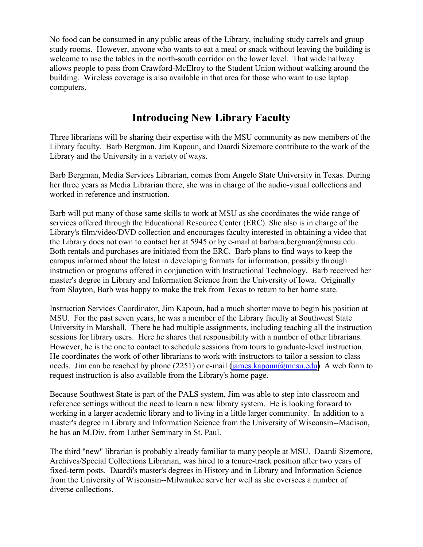No food can be consumed in any public areas of the Library, including study carrels and group study rooms. However, anyone who wants to eat a meal or snack without leaving the building is welcome to use the tables in the north-south corridor on the lower level. That wide hallway allows people to pass from Crawford-McElroy to the Student Union without walking around the building. Wireless coverage is also available in that area for those who want to use laptop computers.

## **Introducing New Library Faculty**

Three librarians will be sharing their expertise with the MSU community as new members of the Library faculty. Barb Bergman, Jim Kapoun, and Daardi Sizemore contribute to the work of the Library and the University in a variety of ways.

Barb Bergman, Media Services Librarian, comes from Angelo State University in Texas. During her three years as Media Librarian there, she was in charge of the audio-visual collections and worked in reference and instruction.

Barb will put many of those same skills to work at MSU as she coordinates the wide range of services offered through the Educational Resource Center (ERC). She also is in charge of the Library's film/video/DVD collection and encourages faculty interested in obtaining a video that the Library does not own to contact her at 5945 or by e-mail at barbara.bergman@mnsu.edu. Both rentals and purchases are initiated from the ERC. Barb plans to find ways to keep the campus informed about the latest in developing formats for information, possibly through instruction or programs offered in conjunction with Instructional Technology. Barb received her master's degree in Library and Information Science from the University of Iowa. Originally from Slayton, Barb was happy to make the trek from Texas to return to her home state.

Instruction Services Coordinator, Jim Kapoun, had a much shorter move to begin his position at MSU. For the past seven years, he was a member of the Library faculty at Southwest State University in Marshall. There he had multiple assignments, including teaching all the instruction sessions for library users. Here he shares that responsibility with a number of other librarians. However, he is the one to contact to schedule sessions from tours to graduate-level instruction. He coordinates the work of other librarians to work with instructors to tailor a session to class needs. Jim can be reached by phone (2251) or e-mail [\(james.kapoun@mnsu.edu\)](mailto:james.kapoun@mnsu.edu) A web form to request instruction is also available from the Library's home page.

Because Southwest State is part of the PALS system, Jim was able to step into classroom and reference settings without the need to learn a new library system. He is looking forward to working in a larger academic library and to living in a little larger community. In addition to a master's degree in Library and Information Science from the University of Wisconsin--Madison, he has an M.Div. from Luther Seminary in St. Paul.

The third "new" librarian is probably already familiar to many people at MSU. Daardi Sizemore, Archives/Special Collections Librarian, was hired to a tenure-track position after two years of fixed-term posts. Daardi's master's degrees in History and in Library and Information Science from the University of Wisconsin--Milwaukee serve her well as she oversees a number of diverse collections.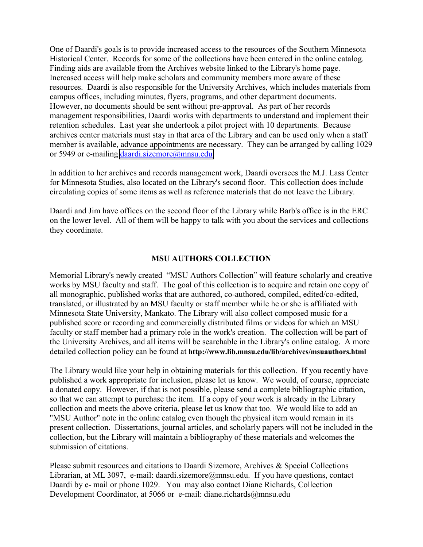One of Daardi's goals is to provide increased access to the resources of the Southern Minnesota Historical Center. Records for some of the collections have been entered in the online catalog. Finding aids are available from the Archives website linked to the Library's home page. Increased access will help make scholars and community members more aware of these resources. Daardi is also responsible for the University Archives, which includes materials from campus offices, including minutes, flyers, programs, and other department documents. However, no documents should be sent without pre-approval. As part of her records management responsibilities, Daardi works with departments to understand and implement their retention schedules. Last year she undertook a pilot project with 10 departments. Because archives center materials must stay in that area of the Library and can be used only when a staff member is available, advance appointments are necessary. They can be arranged by calling 1029 or 5949 or e-mailing [daardi.sizemore@mnsu.edu](mailto:daardi.sizemore@mnsu.edu)

In addition to her archives and records management work, Daardi oversees the M.J. Lass Center for Minnesota Studies, also located on the Library's second floor. This collection does include circulating copies of some items as well as reference materials that do not leave the Library.

Daardi and Jim have offices on the second floor of the Library while Barb's office is in the ERC on the lower level. All of them will be happy to talk with you about the services and collections they coordinate.

## **MSU AUTHORS COLLECTION**

Memorial Library's newly created "MSU Authors Collection" will feature scholarly and creative works by MSU faculty and staff. The goal of this collection is to acquire and retain one copy of all monographic, published works that are authored, co-authored, compiled, edited/co-edited, translated, or illustrated by an MSU faculty or staff member while he or she is affiliated with Minnesota State University, Mankato. The Library will also collect composed music for a published score or recording and commercially distributed films or videos for which an MSU faculty or staff member had a primary role in the work's creation. The collection will be part of the University Archives, and all items will be searchable in the Library's online catalog. A more detailed collection policy can be found at **http://www.lib.mnsu.edu/lib/archives/msuauthors.html**

The Library would like your help in obtaining materials for this collection. If you recently have published a work appropriate for inclusion, please let us know. We would, of course, appreciate a donated copy. However, if that is not possible, please send a complete bibliographic citation, so that we can attempt to purchase the item. If a copy of your work is already in the Library collection and meets the above criteria, please let us know that too. We would like to add an "MSU Author" note in the online catalog even though the physical item would remain in its present collection. Dissertations, journal articles, and scholarly papers will not be included in the collection, but the Library will maintain a bibliography of these materials and welcomes the submission of citations.

Please submit resources and citations to Daardi Sizemore, Archives & Special Collections Librarian, at ML 3097, e-mail: daardi.sizemore@mnsu.edu. If you have questions, contact Daardi by e- mail or phone 1029. You may also contact Diane Richards, Collection Development Coordinator, at 5066 or e-mail: diane.richards@mnsu.edu